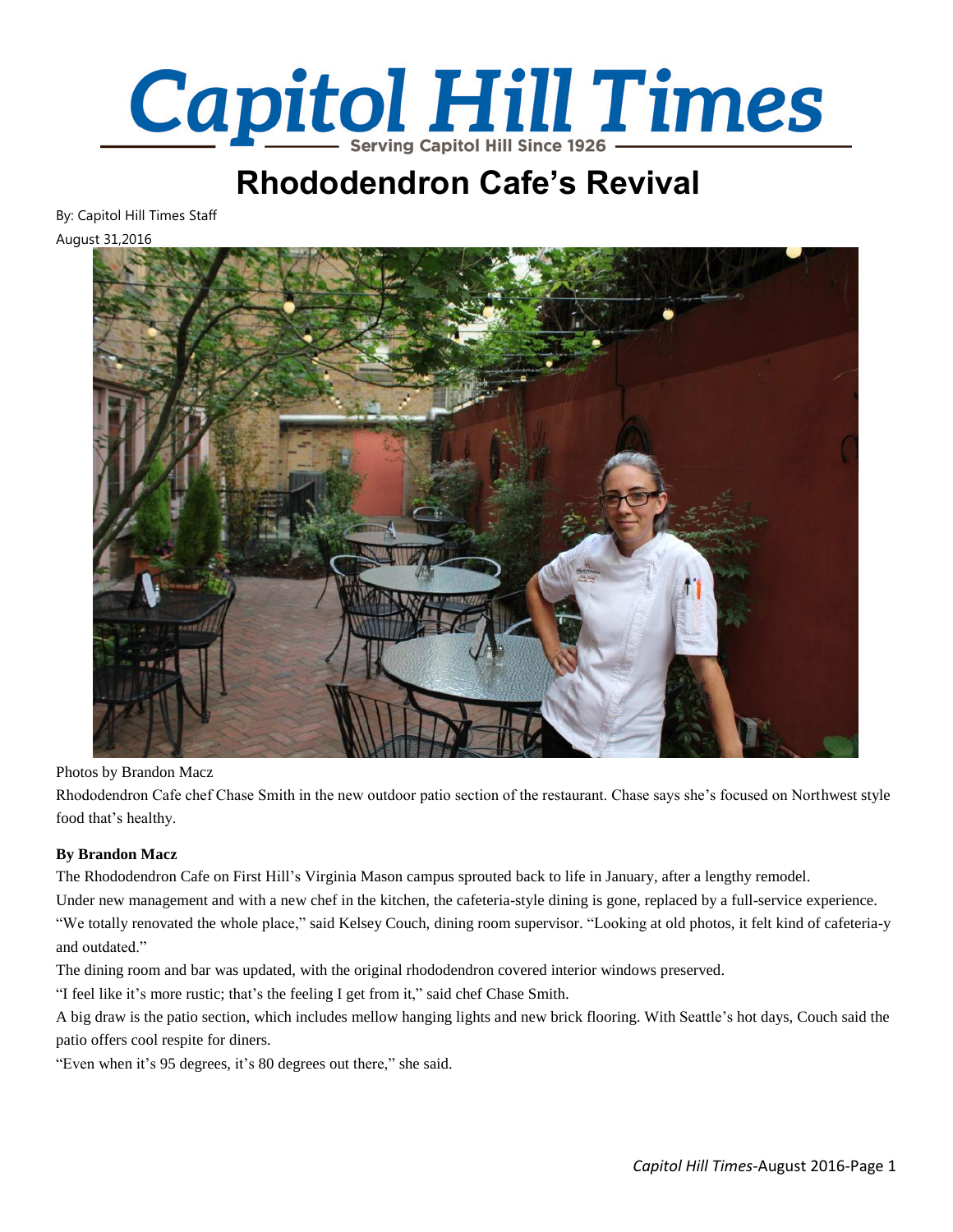

## **Rhododendron Cafe's Revival**

By: Capitol Hill Times Staff

August 31,2016



Photos by Brandon Macz

Rhododendron Cafe chef Chase Smith in the new outdoor patio section of the restaurant. Chase says she's focused on Northwest style food that's healthy.

## **By Brandon Macz**

The Rhododendron Cafe on First Hill's Virginia Mason campus sprouted back to life in January, after a lengthy remodel.

Under new management and with a new chef in the kitchen, the cafeteria-style dining is gone, replaced by a full-service experience. "We totally renovated the whole place," said Kelsey Couch, dining room supervisor. "Looking at old photos, it felt kind of cafeteria-y and outdated."

The dining room and bar was updated, with the original rhododendron covered interior windows preserved.

"I feel like it's more rustic; that's the feeling I get from it," said chef Chase Smith.

A big draw is the patio section, which includes mellow hanging lights and new brick flooring. With Seattle's hot days, Couch said the patio offers cool respite for diners.

"Even when it's 95 degrees, it's 80 degrees out there," she said.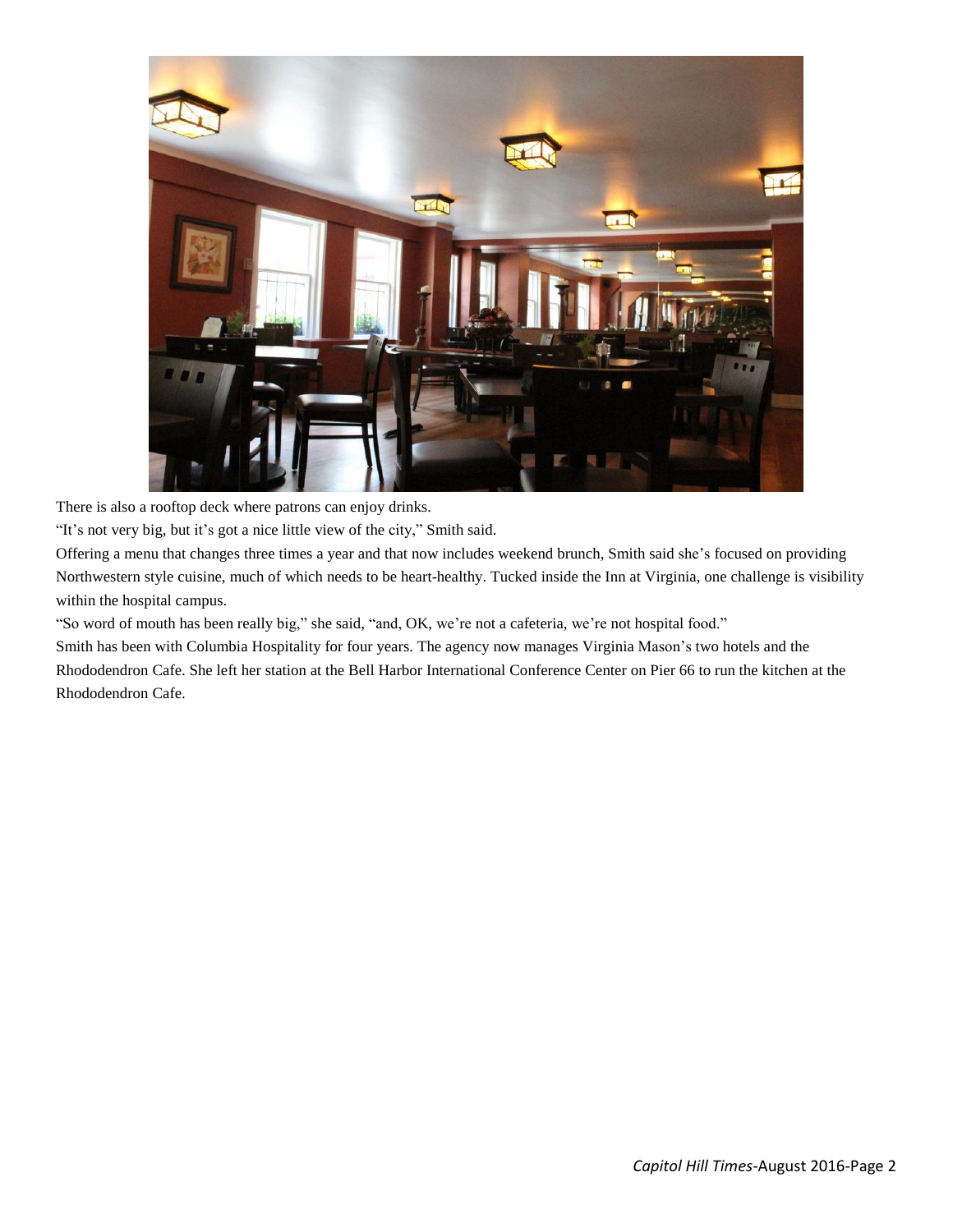

There is also a rooftop deck where patrons can enjoy drinks.

"It's not very big, but it's got a nice little view of the city," Smith said.

Offering a menu that changes three times a year and that now includes weekend brunch, Smith said she's focused on providing Northwestern style cuisine, much of which needs to be heart-healthy. Tucked inside the Inn at Virginia, one challenge is visibility within the hospital campus.

"So word of mouth has been really big," she said, "and, OK, we're not a cafeteria, we're not hospital food."

Smith has been with Columbia Hospitality for four years. The agency now manages Virginia Mason's two hotels and the Rhododendron Cafe. She left her station at the Bell Harbor International Conference Center on Pier 66 to run the kitchen at the Rhododendron Cafe.